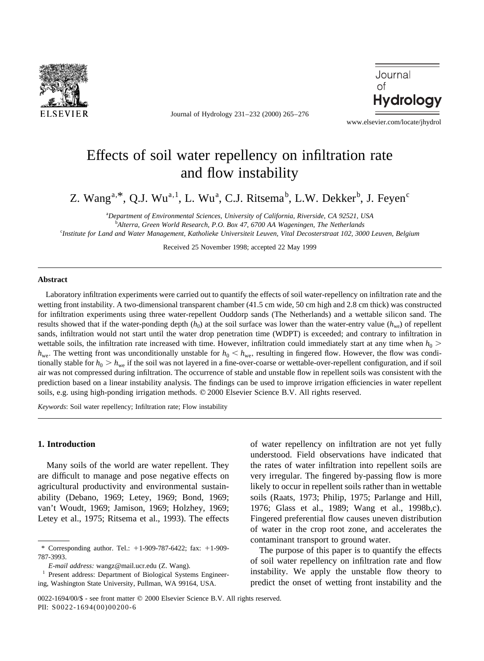

Journal of Hydrology 231–232 (2000) 265–276



www.elsevier.com/locate/jhydrol

# Effects of soil water repellency on infiltration rate and flow instability

Z. Wang<sup>a,\*</sup>, Q.J. Wu<sup>a, 1</sup>, L. Wu<sup>a</sup>, C.J. Ritsema<sup>b</sup>, L.W. Dekker<sup>b</sup>, J. Feyen<sup>c</sup>

a *Department of Environmental Sciences, University of California, Riverside, CA 92521, USA* b *Alterra, Green World Research, P.O. Box 47, 6700 AA Wageningen, The Netherlands* c *Institute for Land and Water Management, Katholieke Universiteit Leuven, Vital Decosterstraat 102, 3000 Leuven, Belgium*

Received 25 November 1998; accepted 22 May 1999

### **Abstract**

Laboratory infiltration experiments were carried out to quantify the effects of soil water-repellency on infiltration rate and the wetting front instability. A two-dimensional transparent chamber (41.5 cm wide, 50 cm high and 2.8 cm thick) was constructed for infiltration experiments using three water-repellent Ouddorp sands (The Netherlands) and a wettable silicon sand. The results showed that if the water-ponding depth  $(h_0)$  at the soil surface was lower than the water-entry value  $(h_{we})$  of repellent sands, infiltration would not start until the water drop penetration time (WDPT) is exceeded; and contrary to infiltration in wettable soils, the infiltration rate increased with time. However, infiltration could immediately start at any time when  $h_0$  >  $h_{\text{we}}$ . The wetting front was unconditionally unstable for  $h_0 < h_{\text{we}}$ , resulting in fingered flow. However, the flow was conditionally stable for  $h_0 > h_{we}$  if the soil was not layered in a fine-over-coarse or wettable-over-repellent configuration, and if soil air was not compressed during infiltration. The occurrence of stable and unstable flow in repellent soils was consistent with the prediction based on a linear instability analysis. The findings can be used to improve irrigation efficiencies in water repellent soils, e.g. using high-ponding irrigation methods.  $\oslash$  2000 Elsevier Science B.V. All rights reserved.

*Keywords*: Soil water repellency; Infiltration rate; Flow instability

# **1. Introduction**

Many soils of the world are water repellent. They are difficult to manage and pose negative effects on agricultural productivity and environmental sustainability (Debano, 1969; Letey, 1969; Bond, 1969; van't Woudt, 1969; Jamison, 1969; Holzhey, 1969; Letey et al., 1975; Ritsema et al., 1993). The effects of water repellency on infiltration are not yet fully understood. Field observations have indicated that the rates of water infiltration into repellent soils are very irregular. The fingered by-passing flow is more likely to occur in repellent soils rather than in wettable soils (Raats, 1973; Philip, 1975; Parlange and Hill, 1976; Glass et al., 1989; Wang et al., 1998b,c). Fingered preferential flow causes uneven distribution of water in the crop root zone, and accelerates the contaminant transport to ground water.

The purpose of this paper is to quantify the effects of soil water repellency on infiltration rate and flow instability. We apply the unstable flow theory to predict the onset of wetting front instability and the

<sup>\*</sup> Corresponding author. Tel.:  $+1-909-787-6422$ ; fax:  $+1-909-$ 787-3993.

*E-mail address:* wangz@mail.ucr.edu (Z. Wang).

Present address: Department of Biological Systems Engineering, Washington State University, Pullman, WA 99164, USA.

<sup>0022-1694/00/\$ -</sup> see front matter © 2000 Elsevier Science B.V. All rights reserved. PII: S0022-1694(00)00200-6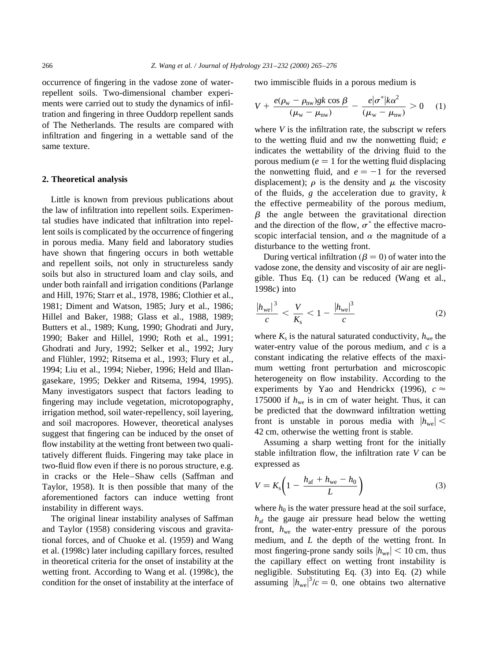occurrence of fingering in the vadose zone of waterrepellent soils. Two-dimensional chamber experiments were carried out to study the dynamics of infiltration and fingering in three Ouddorp repellent sands of The Netherlands. The results are compared with infiltration and fingering in a wettable sand of the same texture.

#### **2. Theoretical analysis**

Little is known from previous publications about the law of infiltration into repellent soils. Experimental studies have indicated that infiltration into repellent soils is complicated by the occurrence of fingering in porous media. Many field and laboratory studies have shown that fingering occurs in both wettable and repellent soils, not only in structureless sandy soils but also in structured loam and clay soils, and under both rainfall and irrigation conditions (Parlange and Hill, 1976; Starr et al., 1978, 1986; Clothier et al., 1981; Diment and Watson, 1985; Jury et al., 1986; Hillel and Baker, 1988; Glass et al., 1988, 1989; Butters et al., 1989; Kung, 1990; Ghodrati and Jury, 1990; Baker and Hillel, 1990; Roth et al., 1991; Ghodrati and Jury, 1992; Selker et al., 1992; Jury and Flühler, 1992; Ritsema et al., 1993; Flury et al., 1994; Liu et al., 1994; Nieber, 1996; Held and Illangasekare, 1995; Dekker and Ritsema, 1994, 1995). Many investigators suspect that factors leading to fingering may include vegetation, microtopography, irrigation method, soil water-repellency, soil layering, and soil macropores. However, theoretical analyses suggest that fingering can be induced by the onset of flow instability at the wetting front between two qualitatively different fluids. Fingering may take place in two-fluid flow even if there is no porous structure, e.g. in cracks or the Hele–Shaw cells (Saffman and Taylor, 1958). It is then possible that many of the aforementioned factors can induce wetting front instability in different ways.

The original linear instability analyses of Saffman and Taylor (1958) considering viscous and gravitational forces, and of Chuoke et al. (1959) and Wang et al. (1998c) later including capillary forces, resulted in theoretical criteria for the onset of instability at the wetting front. According to Wang et al. (1998c), the condition for the onset of instability at the interface of two immiscible fluids in a porous medium is

$$
V + \frac{e(\rho_{\rm w} - \rho_{\rm nw})gk\cos\beta}{(\mu_{\rm w} - \mu_{\rm nw})} - \frac{e|\sigma^*|k\alpha^2}{(\mu_{\rm w} - \mu_{\rm nw})} > 0 \quad (1)
$$

where *V* is the infiltration rate, the subscript w refers to the wetting fluid and nw the nonwetting fluid; *e* indicates the wettability of the driving fluid to the porous medium ( $e = 1$  for the wetting fluid displacing the nonwetting fluid, and  $e = -1$  for the reversed displacement);  $\rho$  is the density and  $\mu$  the viscosity of the fluids, *g* the acceleration due to gravity, *k* the effective permeability of the porous medium,  $\beta$  the angle between the gravitational direction and the direction of the flow,  $\sigma^*$  the effective macroscopic interfacial tension, and  $\alpha$  the magnitude of a disturbance to the wetting front.

During vertical infiltration ( $\beta = 0$ ) of water into the vadose zone, the density and viscosity of air are negligible. Thus Eq. (1) can be reduced (Wang et al., 1998c) into

$$
\frac{|h_{we}|^3}{c} < \frac{V}{K_s} < 1 - \frac{|h_{we}|^3}{c} \tag{2}
$$

where  $K_s$  is the natural saturated conductivity,  $h_{\text{we}}$  the water-entry value of the porous medium, and *c* is a constant indicating the relative effects of the maximum wetting front perturbation and microscopic heterogeneity on flow instability. According to the experiments by Yao and Hendrickx (1996),  $c \approx$ 175000 if  $h_{\text{we}}$  is in cm of water height. Thus, it can be predicted that the downward infiltration wetting front is unstable in porous media with  $|h_{we}| <$ 42 cm; otherwise the wetting front is stable.

Assuming a sharp wetting front for the initially stable infiltration flow, the infiltration rate *V* can be expressed as

$$
V = K_{\rm s} \left( 1 - \frac{h_{\rm af} + h_{\rm we} - h_0}{L} \right) \tag{3}
$$

where  $h_0$  is the water pressure head at the soil surface,  $h_{\text{af}}$  the gauge air pressure head below the wetting front,  $h_{\text{we}}$  the water-entry pressure of the porous medium, and *L* the depth of the wetting front. In most fingering-prone sandy soils  $|h_{we}| < 10$  cm, thus the capillary effect on wetting front instability is negligible. Substituting Eq. (3) into Eq. (2) while assuming  $|h_{we}|^3/c = 0$ , one obtains two alternative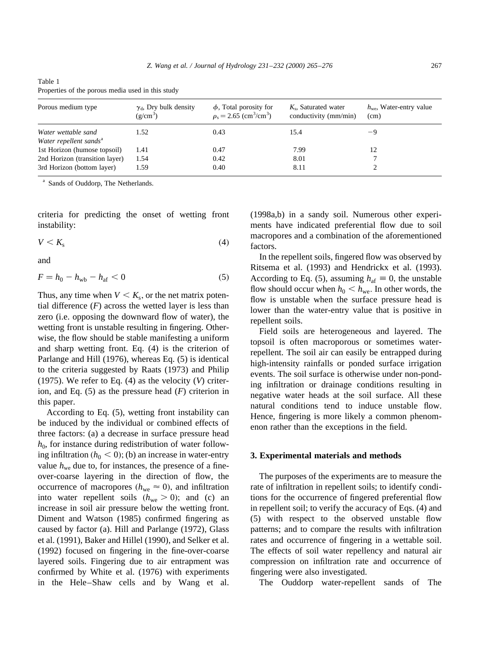| Table 1                                           |  |  |  |
|---------------------------------------------------|--|--|--|
| Properties of the porous media used in this study |  |  |  |

| Porous medium type                                        | $\gamma_d$ , Dry bulk density<br>$(g/cm^3)$ | $\phi$ , Total porosity for<br>$\rho_s = 2.65$ (cm <sup>3</sup> /cm <sup>3</sup> ) | $K_s$ , Saturated water<br>conductivity (mm/min) | $h_{\rm we}$ , Water-entry value<br>(cm) |
|-----------------------------------------------------------|---------------------------------------------|------------------------------------------------------------------------------------|--------------------------------------------------|------------------------------------------|
| Water wettable sand<br>Water repellent sands <sup>a</sup> | 1.52                                        | 0.43                                                                               | 15.4                                             | -9                                       |
| 1st Horizon (humose topsoil)                              | l.41                                        | 0.47                                                                               | 7.99                                             | 12                                       |
| 2nd Horizon (transition layer)                            | l .54                                       | 0.42                                                                               | 8.01                                             |                                          |
| 3rd Horizon (bottom layer)                                | . 59                                        | 0.40                                                                               | 8.11                                             |                                          |

<sup>a</sup> Sands of Ouddorp, The Netherlands.

criteria for predicting the onset of wetting front instability:

$$
V < K_{\rm s} \tag{4}
$$

and

$$
F = h_0 - h_{\rm wb} - h_{\rm af} < 0 \tag{5}
$$

Thus, any time when  $V < K_s$ , or the net matrix potential difference  $(F)$  across the wetted layer is less than zero (i.e. opposing the downward flow of water), the wetting front is unstable resulting in fingering. Otherwise, the flow should be stable manifesting a uniform and sharp wetting front. Eq. (4) is the criterion of Parlange and Hill (1976), whereas Eq. (5) is identical to the criteria suggested by Raats (1973) and Philip (1975). We refer to Eq.  $(4)$  as the velocity  $(V)$  criterion, and Eq. (5) as the pressure head (*F*) criterion in this paper.

According to Eq. (5), wetting front instability can be induced by the individual or combined effects of three factors: (a) a decrease in surface pressure head  $h_0$ , for instance during redistribution of water following infiltration  $(h_0 < 0)$ ; (b) an increase in water-entry value  $h_{we}$  due to, for instances, the presence of a fineover-coarse layering in the direction of flow, the occurrence of macropores  $(h_{we} \approx 0)$ , and infiltration into water repellent soils  $(h_{we} > 0)$ ; and (c) an increase in soil air pressure below the wetting front. Diment and Watson (1985) confirmed fingering as caused by factor (a). Hill and Parlange (1972), Glass et al. (1991), Baker and Hillel (1990), and Selker et al. (1992) focused on fingering in the fine-over-coarse layered soils. Fingering due to air entrapment was confirmed by White et al. (1976) with experiments in the Hele–Shaw cells and by Wang et al.

(1998a,b) in a sandy soil. Numerous other experiments have indicated preferential flow due to soil macropores and a combination of the aforementioned factors.

In the repellent soils, fingered flow was observed by Ritsema et al. (1993) and Hendrickx et al. (1993). According to Eq. (5), assuming  $h_{\text{af}} \equiv 0$ , the unstable flow should occur when  $h_0 < h_{\text{we}}$ . In other words, the flow is unstable when the surface pressure head is lower than the water-entry value that is positive in repellent soils.

Field soils are heterogeneous and layered. The topsoil is often macroporous or sometimes waterrepellent. The soil air can easily be entrapped during high-intensity rainfalls or ponded surface irrigation events. The soil surface is otherwise under non-ponding infiltration or drainage conditions resulting in negative water heads at the soil surface. All these natural conditions tend to induce unstable flow. Hence, fingering is more likely a common phenomenon rather than the exceptions in the field.

### **3. Experimental materials and methods**

The purposes of the experiments are to measure the rate of infiltration in repellent soils; to identify conditions for the occurrence of fingered preferential flow in repellent soil; to verify the accuracy of Eqs. (4) and (5) with respect to the observed unstable flow patterns; and to compare the results with infiltration rates and occurrence of fingering in a wettable soil. The effects of soil water repellency and natural air compression on infiltration rate and occurrence of fingering were also investigated.

The Ouddorp water-repellent sands of The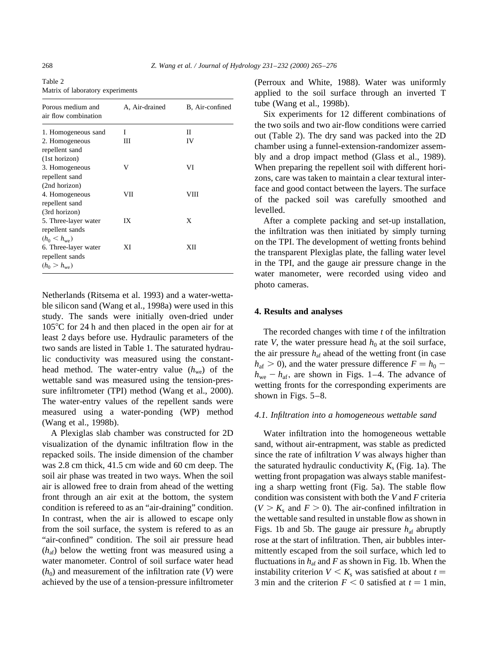Table 2 Matrix of laboratory experiments

| Porous medium and<br>air flow combination                   | A, Air-drained | B, Air-confined |
|-------------------------------------------------------------|----------------|-----------------|
| 1. Homogeneous sand                                         | I              | П               |
| 2. Homogeneous<br>repellent sand                            | Ш              | IV              |
| (1st horizon)<br>3. Homogeneous<br>repellent sand           | V              | VI              |
| (2nd horizon)                                               |                |                 |
| 4. Homogeneous<br>repellent sand                            | VІІ            | VIII            |
| (3rd horizon)                                               |                |                 |
| 5. Three-layer water<br>repellent sands                     | IX             | X               |
| $(h_0 < h_{we})$                                            |                |                 |
| 6. Three-layer water<br>repellent sands<br>$(h_0 > h_{we})$ | ХI             | XН              |

Netherlands (Ritsema et al. 1993) and a water-wettable silicon sand (Wang et al., 1998a) were used in this study. The sands were initially oven-dried under  $105^{\circ}$ C for 24 h and then placed in the open air for at least 2 days before use. Hydraulic parameters of the two sands are listed in Table 1. The saturated hydraulic conductivity was measured using the constanthead method. The water-entry value  $(h_{we})$  of the wettable sand was measured using the tension-pressure infiltrometer (TPI) method (Wang et al., 2000). The water-entry values of the repellent sands were measured using a water-ponding (WP) method (Wang et al., 1998b).

A Plexiglas slab chamber was constructed for 2D visualization of the dynamic infiltration flow in the repacked soils. The inside dimension of the chamber was 2.8 cm thick, 41.5 cm wide and 60 cm deep. The soil air phase was treated in two ways. When the soil air is allowed free to drain from ahead of the wetting front through an air exit at the bottom, the system condition is refereed to as an "air-draining" condition. In contrast, when the air is allowed to escape only from the soil surface, the system is refered to as an "air-confined" condition. The soil air pressure head  $(h_{\text{af}})$  below the wetting front was measured using a water manometer. Control of soil surface water head  $(h_0)$  and measurement of the infiltration rate (*V*) were achieved by the use of a tension-pressure infiltrometer (Perroux and White, 1988). Water was uniformly applied to the soil surface through an inverted T tube (Wang et al., 1998b).

Six experiments for 12 different combinations of the two soils and two air-flow conditions were carried out (Table 2). The dry sand was packed into the 2D chamber using a funnel-extension-randomizer assembly and a drop impact method (Glass et al., 1989). When preparing the repellent soil with different horizons, care was taken to maintain a clear textural interface and good contact between the layers. The surface of the packed soil was carefully smoothed and levelled.

After a complete packing and set-up installation, the infiltration was then initiated by simply turning on the TPI. The development of wetting fronts behind the transparent Plexiglas plate, the falling water level in the TPI, and the gauge air pressure change in the water manometer, were recorded using video and photo cameras.

## **4. Results and analyses**

The recorded changes with time *t* of the infiltration rate *V*, the water pressure head  $h_0$  at the soil surface, the air pressure  $h_{\text{af}}$  ahead of the wetting front (in case  $h_{\text{af}} > 0$ ), and the water pressure difference  $F = h_0$  $h_{\text{we}} - h_{\text{af}}$ , are shown in Figs. 1–4. The advance of wetting fronts for the corresponding experiments are shown in Figs. 5–8.

## *4.1. Infiltration into a homogeneous wettable sand*

Water infiltration into the homogeneous wettable sand, without air-entrapment, was stable as predicted since the rate of infiltration *V* was always higher than the saturated hydraulic conductivity  $K_s$  (Fig. 1a). The wetting front propagation was always stable manifesting a sharp wetting front (Fig. 5a). The stable flow condition was consistent with both the *V* and *F* criteria  $(V > K<sub>s</sub>$  and  $F > 0$ ). The air-confined infiltration in the wettable sand resulted in unstable flow as shown in Figs. 1b and 5b. The gauge air pressure  $h_{\text{af}}$  abruptly rose at the start of infiltration. Then, air bubbles intermittently escaped from the soil surface, which led to fluctuations in  $h_{\text{af}}$  and *F* as shown in Fig. 1b. When the instability criterion  $V \leq K_s$  was satisfied at about  $t =$ 3 min and the criterion  $F < 0$  satisfied at  $t = 1$  min,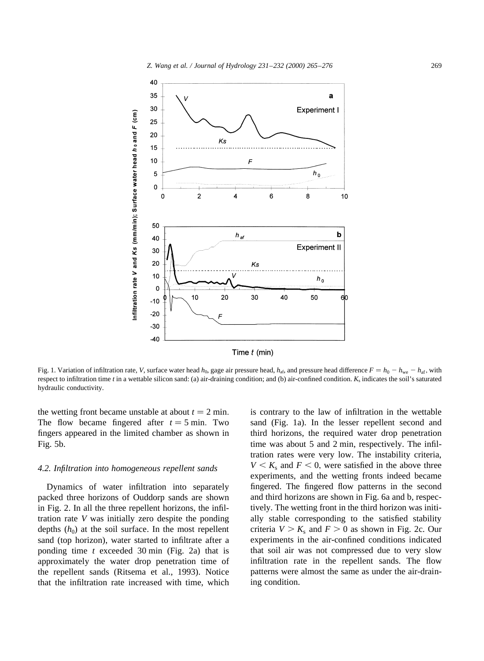

Time  $t$  (min)

Fig. 1. Variation of infiltration rate, *V*, surface water head  $h_0$ , gage air pressure head,  $h_{af}$ , and pressure head difference  $F = h_0 - h_{we} - h_{af}$ , with respect to infiltration time  $t$  in a wettable silicon sand: (a) air-draining condition; and (b) air-confined condition.  $K_s$  indicates the soil's saturated hydraulic conductivity.

the wetting front became unstable at about  $t = 2$  min. The flow became fingered after  $t = 5$  min. Two fingers appeared in the limited chamber as shown in Fig. 5b.

#### *4.2. Infiltration into homogeneous repellent sands*

Dynamics of water infiltration into separately packed three horizons of Ouddorp sands are shown in Fig. 2. In all the three repellent horizons, the infiltration rate *V* was initially zero despite the ponding depths  $(h_0)$  at the soil surface. In the most repellent sand (top horizon), water started to infiltrate after a ponding time *t* exceeded 30 min (Fig. 2a) that is approximately the water drop penetration time of the repellent sands (Ritsema et al., 1993). Notice that the infiltration rate increased with time, which

is contrary to the law of infiltration in the wettable sand (Fig. 1a). In the lesser repellent second and third horizons, the required water drop penetration time was about 5 and 2 min, respectively. The infiltration rates were very low. The instability criteria,  $V < K<sub>s</sub>$  and  $F < 0$ , were satisfied in the above three experiments, and the wetting fronts indeed became fingered. The fingered flow patterns in the second and third horizons are shown in Fig. 6a and b, respectively. The wetting front in the third horizon was initially stable corresponding to the satisfied stability criteria  $V > K_s$  and  $F > 0$  as shown in Fig. 2c. Our experiments in the air-confined conditions indicated that soil air was not compressed due to very slow infiltration rate in the repellent sands. The flow patterns were almost the same as under the air-draining condition.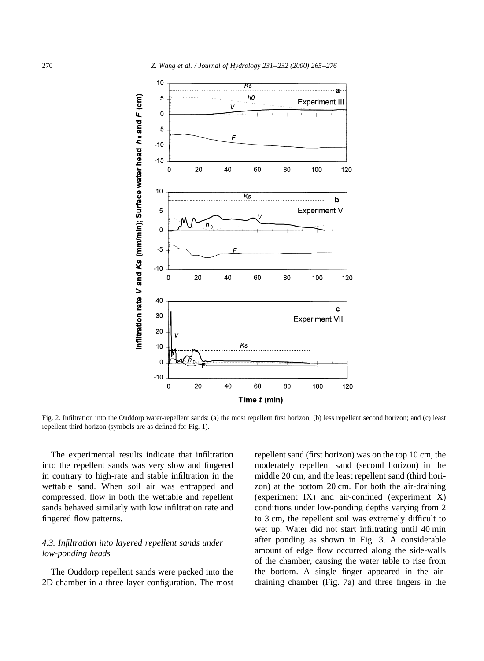

Fig. 2. Infiltration into the Ouddorp water-repellent sands: (a) the most repellent first horizon; (b) less repellent second horizon; and (c) least repellent third horizon (symbols are as defined for Fig. 1).

The experimental results indicate that infiltration into the repellent sands was very slow and fingered in contrary to high-rate and stable infiltration in the wettable sand. When soil air was entrapped and compressed, flow in both the wettable and repellent sands behaved similarly with low infiltration rate and fingered flow patterns.

# *4.3. Infiltration into layered repellent sands under low-ponding heads*

The Ouddorp repellent sands were packed into the 2D chamber in a three-layer configuration. The most repellent sand (first horizon) was on the top 10 cm, the moderately repellent sand (second horizon) in the middle 20 cm, and the least repellent sand (third horizon) at the bottom 20 cm. For both the air-draining (experiment IX) and air-confined (experiment X) conditions under low-ponding depths varying from 2 to 3 cm, the repellent soil was extremely difficult to wet up. Water did not start infiltrating until 40 min after ponding as shown in Fig. 3. A considerable amount of edge flow occurred along the side-walls of the chamber, causing the water table to rise from the bottom. A single finger appeared in the airdraining chamber (Fig. 7a) and three fingers in the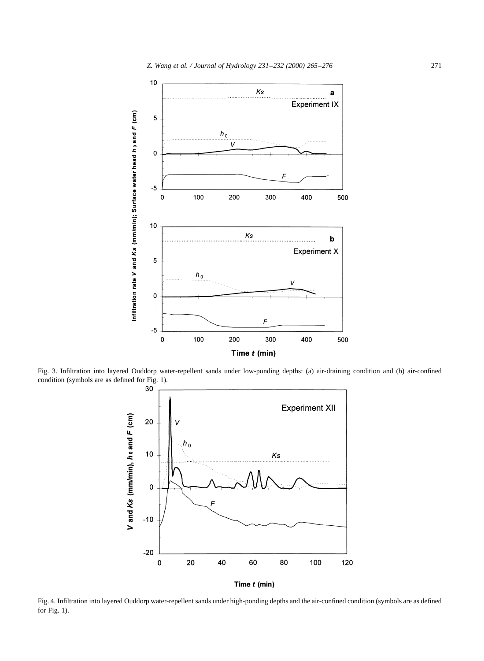

Fig. 3. Infiltration into layered Ouddorp water-repellent sands under low-ponding depths: (a) air-draining condition and (b) air-confined condition (symbols are as defined for Fig. 1).<br>30



Fig. 4. Infiltration into layered Ouddorp water-repellent sands under high-ponding depths and the air-confined condition (symbols are as defined for Fig. 1).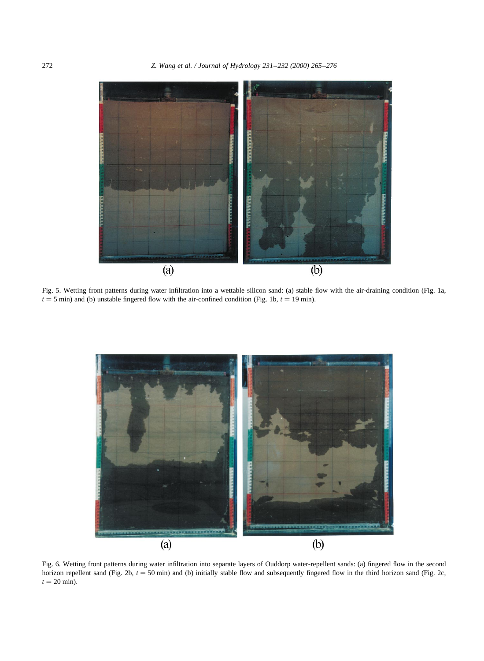

Fig. 5. Wetting front patterns during water infiltration into a wettable silicon sand: (a) stable flow with the air-draining condition (Fig. 1a,  $t = 5$  min) and (b) unstable fingered flow with the air-confined condition (Fig. 1b,  $t = 19$  min).



Fig. 6. Wetting front patterns during water infiltration into separate layers of Ouddorp water-repellent sands: (a) fingered flow in the second horizon repellent sand (Fig. 2b,  $t = 50$  min) and (b) initially stable flow and subsequently fingered flow in the third horizon sand (Fig. 2c,  $t = 20$  min).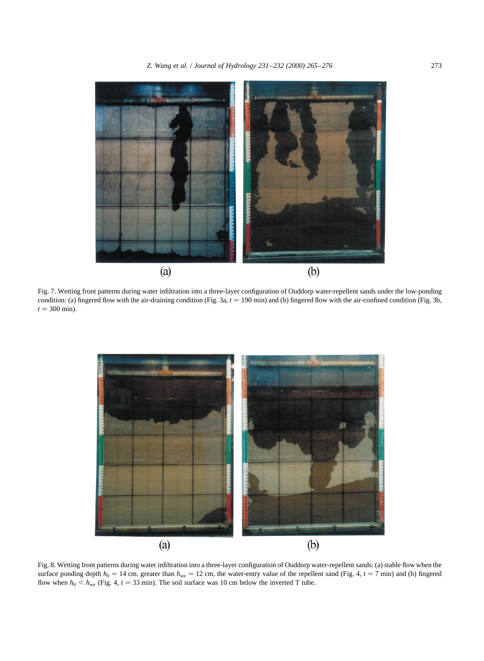

Fig. 7. Wetting front patterns during water infiltration into a three-layer configuration of Ouddorp water-repellent sands under the low-ponding condition: (a) fingered flow with the air-draining condition (Fig. 3a,  $t = 190$  min) and (b) fingered flow with the air-confined condition (Fig. 3b,  $t = 300 \text{ min}$ .



Fig. 8. Wetting front patterns during water infiltration into a three-layer configuration of Ouddorp water-repellent sands: (a) stable flow when the surface ponding depth  $h_0 = 14$  cm, greater than  $h_{we} = 12$  cm, the water-entry value of the repellent sand (Fig. 4,  $t = 7$  min) and (b) fingered flow when  $h_0 < h_{we}$  (Fig. 4,  $t = 33$  min). The soil surface was 10 cm below the inverted T tube.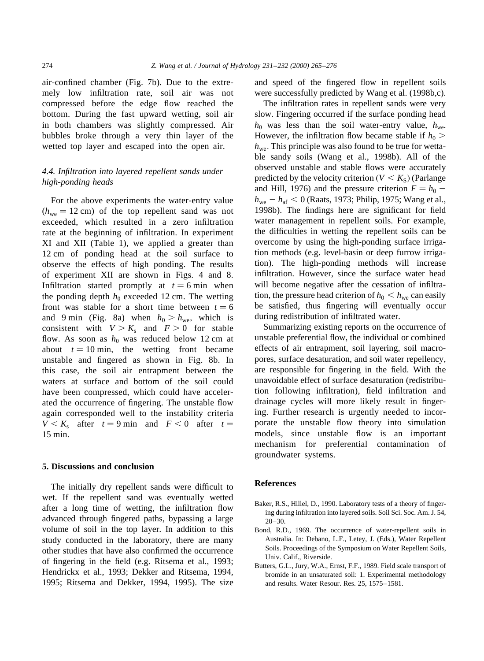air-confined chamber (Fig. 7b). Due to the extremely low infiltration rate, soil air was not compressed before the edge flow reached the bottom. During the fast upward wetting, soil air in both chambers was slightly compressed. Air bubbles broke through a very thin layer of the wetted top layer and escaped into the open air.

# *4.4. Infiltration into layered repellent sands under high-ponding heads*

For the above experiments the water-entry value  $(h_{we} = 12 \text{ cm})$  of the top repellent sand was not exceeded, which resulted in a zero infiltration rate at the beginning of infiltration. In experiment XI and XII (Table 1), we applied a greater than 12 cm of ponding head at the soil surface to observe the effects of high ponding. The results of experiment XII are shown in Figs. 4 and 8. Infiltration started promptly at  $t = 6$  min when the ponding depth  $h_0$  exceeded 12 cm. The wetting front was stable for a short time between  $t = 6$ and 9 min (Fig. 8a) when  $h_0 > h_{\text{we}}$ , which is consistent with  $V > K_s$  and  $F > 0$  for stable flow. As soon as  $h_0$  was reduced below 12 cm at about  $t = 10$  min, the wetting front became unstable and fingered as shown in Fig. 8b. In this case, the soil air entrapment between the waters at surface and bottom of the soil could have been compressed, which could have accelerated the occurrence of fingering. The unstable flow again corresponded well to the instability criteria  $V < K_s$  after  $t = 9$  min and  $F < 0$  after  $t =$ 15 min:

#### **5. Discussions and conclusion**

The initially dry repellent sands were difficult to wet. If the repellent sand was eventually wetted after a long time of wetting, the infiltration flow advanced through fingered paths, bypassing a large volume of soil in the top layer. In addition to this study conducted in the laboratory, there are many other studies that have also confirmed the occurrence of fingering in the field (e.g. Ritsema et al., 1993; Hendrickx et al., 1993; Dekker and Ritsema, 1994, 1995; Ritsema and Dekker, 1994, 1995). The size and speed of the fingered flow in repellent soils were successfully predicted by Wang et al. (1998b,c).

The infiltration rates in repellent sands were very slow. Fingering occurred if the surface ponding head  $h_0$  was less than the soil water-entry value,  $h_{we}$ . However, the infiltration flow became stable if  $h_0$  >  $h_{\text{we}}$ . This principle was also found to be true for wettable sandy soils (Wang et al., 1998b). All of the observed unstable and stable flows were accurately predicted by the velocity criterion  $(V < K<sub>S</sub>)$  (Parlange and Hill, 1976) and the pressure criterion  $F = h_0$  –  $h_{\text{we}} - h_{\text{af}} < 0$  (Raats, 1973; Philip, 1975; Wang et al., 1998b). The findings here are significant for field water management in repellent soils. For example, the difficulties in wetting the repellent soils can be overcome by using the high-ponding surface irrigation methods (e.g. level-basin or deep furrow irrigation). The high-ponding methods will increase infiltration. However, since the surface water head will become negative after the cessation of infiltration, the pressure head criterion of  $h_0 < h_{\text{we}}$  can easily be satisfied, thus fingering will eventually occur during redistribution of infiltrated water.

Summarizing existing reports on the occurrence of unstable preferential flow, the individual or combined effects of air entrapment, soil layering, soil macropores, surface desaturation, and soil water repellency, are responsible for fingering in the field. With the unavoidable effect of surface desaturation (redistribution following infiltration), field infiltration and drainage cycles will more likely result in fingering. Further research is urgently needed to incorporate the unstable flow theory into simulation models, since unstable flow is an important mechanism for preferential contamination of groundwater systems.

### **References**

- Baker, R.S., Hillel, D., 1990. Laboratory tests of a theory of fingering during infiltration into layered soils. Soil Sci. Soc. Am. J. 54, 20–30.
- Bond, R.D., 1969. The occurrence of water-repellent soils in Australia. In: Debano, L.F., Letey, J. (Eds.), Water Repellent Soils. Proceedings of the Symposium on Water Repellent Soils, Univ. Calif., Riverside.
- Butters, G.L., Jury, W.A., Ernst, F.F., 1989. Field scale transport of bromide in an unsaturated soil: 1. Experimental methodology and results. Water Resour. Res. 25, 1575–1581.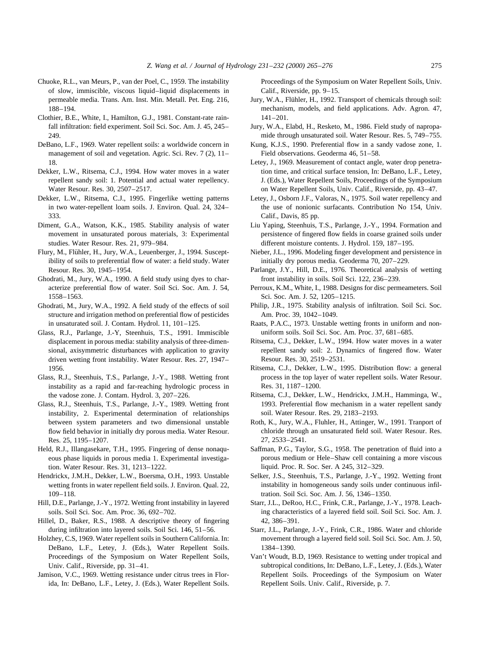- Chuoke, R.L., van Meurs, P., van der Poel, C., 1959. The instability of slow, immiscible, viscous liquid–liquid displacements in permeable media. Trans. Am. Inst. Min. Metall. Pet. Eng. 216, 188–194.
- Clothier, B.E., White, I., Hamilton, G.J., 1981. Constant-rate rainfall infiltration: field experiment. Soil Sci. Soc. Am. J. 45, 245– 249.
- DeBano, L.F., 1969. Water repellent soils: a worldwide concern in management of soil and vegetation. Agric. Sci. Rev. 7 (2), 11– 18.
- Dekker, L.W., Ritsema, C.J., 1994. How water moves in a water repellent sandy soil: 1. Potential and actual water repellency. Water Resour. Res. 30, 2507–2517.
- Dekker, L.W., Ritsema, C.J., 1995. Fingerlike wetting patterns in two water-repellent loam soils. J. Environ. Qual. 24, 324– 333.
- Diment, G.A., Watson, K.K., 1985. Stability analysis of water movement in unsaturated porous materials, 3: Experimental studies. Water Resour. Res. 21, 979–984.
- Flury, M., Flühler, H., Jury, W.A., Leuenberger, J., 1994. Susceptibility of soils to preferential flow of water: a field study. Water Resour. Res. 30, 1945–1954.
- Ghodrati, M., Jury, W.A., 1990. A field study using dyes to characterize preferential flow of water. Soil Sci. Soc. Am. J. 54, 1558–1563.
- Ghodrati, M., Jury, W.A., 1992. A field study of the effects of soil structure and irrigation method on preferential flow of pesticides in unsaturated soil. J. Contam. Hydrol. 11, 101–125.
- Glass, R.J., Parlange, J.-Y, Steenhuis, T.S., 1991. Immiscible displacement in porous media: stability analysis of three-dimensional, axisymmetric disturbances with application to gravity driven wetting front instability. Water Resour. Res. 27, 1947– 1956.
- Glass, R.J., Steenhuis, T.S., Parlange, J.-Y., 1988. Wetting front instability as a rapid and far-reaching hydrologic process in the vadose zone. J. Contam. Hydrol. 3, 207–226.
- Glass, R.J., Steenhuis, T.S., Parlange, J.-Y., 1989. Wetting front instability, 2. Experimental determination of relationships between system parameters and two dimensional unstable flow field behavior in initially dry porous media. Water Resour. Res. 25, 1195–1207.
- Held, R.J., Illangasekare, T.H., 1995. Fingering of dense nonaqueous phase liquids in porous media 1. Experimental investigation. Water Resour. Res. 31, 1213–1222.
- Hendrickx, J.M.H., Dekker, L.W., Boersma, O.H., 1993. Unstable wetting fronts in water repellent field soils. J. Environ. Qual. 22, 109–118.
- Hill, D.E., Parlange, J.-Y., 1972. Wetting front instability in layered soils. Soil Sci. Soc. Am. Proc. 36, 692–702.
- Hillel, D., Baker, R.S., 1988. A descriptive theory of fingering during infiltration into layered soils. Soil Sci. 146, 51–56.
- Holzhey, C.S, 1969. Water repellent soils in Southern California. In: DeBano, L.F., Letey, J. (Eds.), Water Repellent Soils. Proceedings of the Symposium on Water Repellent Soils, Univ. Calif., Riverside, pp. 31–41.
- Jamison, V.C., 1969. Wetting resistance under citrus trees in Florida, In: DeBano, L.F., Letey, J. (Eds.), Water Repellent Soils.

Proceedings of the Symposium on Water Repellent Soils, Univ. Calif., Riverside, pp. 9–15.

- Jury, W.A., Flühler, H., 1992. Transport of chemicals through soil: mechanism, models, and field applications. Adv. Agron. 47, 141–201.
- Jury, W.A., Elabd, H., Resketo, M., 1986. Field study of napropamide through unsaturated soil. Water Resour. Res. 5, 749–755.
- Kung, K.J.S., 1990. Preferential flow in a sandy vadose zone, 1. Field observations. Geoderma 46, 51–58.
- Letey, J., 1969. Measurement of contact angle, water drop penetration time, and critical surface tension, In: DeBano, L.F., Letey, J. (Eds.), Water Repellent Soils, Proceedings of the Symposium on Water Repellent Soils, Univ. Calif., Riverside, pp. 43–47.
- Letey, J., Osborn J.F., Valoras, N., 1975. Soil water repellency and the use of nonionic surfacants. Contribution No 154, Univ. Calif., Davis, 85 pp.
- Liu Yaping, Steenhuis, T.S., Parlange, J.-Y., 1994. Formation and persistence of fingered flow fields in coarse grained soils under different moisture contents. J. Hydrol. 159, 187–195.
- Nieber, J.L., 1996. Modeling finger development and persistence in initially dry porous media. Geoderma 70, 207–229.
- Parlange, J.Y., Hill, D.E., 1976. Theoretical analysis of wetting front instability in soils. Soil Sci. 122, 236–239.
- Perroux, K.M., White, I., 1988. Designs for disc permeameters. Soil Sci. Soc. Am. J. 52, 1205–1215.
- Philip, J.R., 1975. Stability analysis of infiltration. Soil Sci. Soc. Am. Proc. 39, 1042–1049.
- Raats, P.A.C., 1973. Unstable wetting fronts in uniform and nonuniform soils. Soil Sci. Soc. Am. Proc. 37, 681–685.
- Ritsema, C.J., Dekker, L.W., 1994. How water moves in a water repellent sandy soil: 2. Dynamics of fingered flow. Water Resour. Res. 30, 2519–2531.
- Ritsema, C.J., Dekker, L.W., 1995. Distribution flow: a general process in the top layer of water repellent soils. Water Resour. Res. 31, 1187–1200.
- Ritsema, C.J., Dekker, L.W., Hendrickx, J.M.H., Hamminga, W., 1993. Preferential flow mechanism in a water repellent sandy soil. Water Resour. Res. 29, 2183–2193.
- Roth, K., Jury, W.A., Fluhler, H., Attinger, W., 1991. Tranport of chloride through an unsaturated field soil. Water Resour. Res. 27, 2533–2541.
- Saffman, P.G., Taylor, S.G., 1958. The penetration of fluid into a porous medium or Hele–Shaw cell containing a more viscous liquid. Proc. R. Soc. Ser. A 245, 312–329.
- Selker, J.S., Steenhuis, T.S., Parlange, J.-Y., 1992. Wetting front instability in homogeneous sandy soils under continuous infiltration. Soil Sci. Soc. Am. J. 56, 1346–1350.
- Starr, J.L., DeRoo, H.C., Frink, C.R., Parlange, J.-Y., 1978. Leaching characteristics of a layered field soil. Soil Sci. Soc. Am. J. 42, 386–391.
- Starr, J.L., Parlange, J.-Y., Frink, C.R., 1986. Water and chloride movement through a layered field soil. Soil Sci. Soc. Am. J. 50, 1384–1390.
- Van't Woudt, B.D, 1969. Resistance to wetting under tropical and subtropical conditions, In: DeBano, L.F., Letey, J. (Eds.), Water Repellent Soils. Proceedings of the Symposium on Water Repellent Soils. Univ. Calif., Riverside, p. 7.